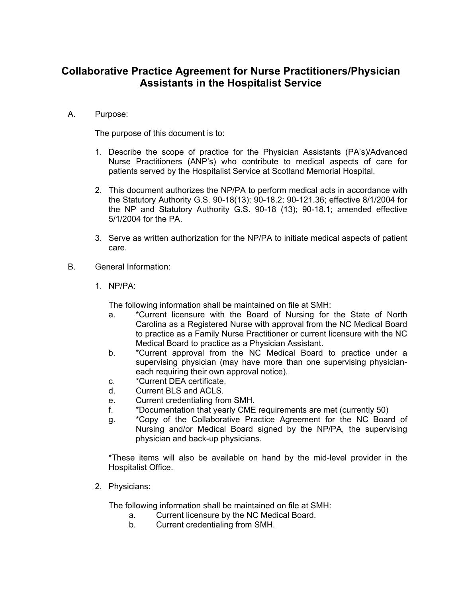# **Collaborative Practice Agreement for Nurse Practitioners/Physician Assistants in the Hospitalist Service**

A. Purpose:

The purpose of this document is to:

- 1. Describe the scope of practice for the Physician Assistants (PA's)/Advanced Nurse Practitioners (ANP's) who contribute to medical aspects of care for patients served by the Hospitalist Service at Scotland Memorial Hospital.
- 2. This document authorizes the NP/PA to perform medical acts in accordance with the Statutory Authority G.S. 90-18(13); 90-18.2; 90-121.36; effective 8/1/2004 for the NP and Statutory Authority G.S. 90-18 (13); 90-18.1; amended effective 5/1/2004 for the PA.
- 3. Serve as written authorization for the NP/PA to initiate medical aspects of patient care.
- B. General Information:
	- 1. NP/PA:

The following information shall be maintained on file at SMH:

- a. \*Current licensure with the Board of Nursing for the State of North Carolina as a Registered Nurse with approval from the NC Medical Board to practice as a Family Nurse Practitioner or current licensure with the NC Medical Board to practice as a Physician Assistant.
- b. \*Current approval from the NC Medical Board to practice under a supervising physician (may have more than one supervising physicianeach requiring their own approval notice).
- c. \*Current DEA certificate.
- d. Current BLS and ACLS.
- e. Current credentialing from SMH.
- f. \*Documentation that yearly CME requirements are met (currently 50)
- g. \*Copy of the Collaborative Practice Agreement for the NC Board of Nursing and/or Medical Board signed by the NP/PA, the supervising physician and back-up physicians.

\*These items will also be available on hand by the mid-level provider in the Hospitalist Office.

2. Physicians:

The following information shall be maintained on file at SMH:

- a. Current licensure by the NC Medical Board.
- b. Current credentialing from SMH.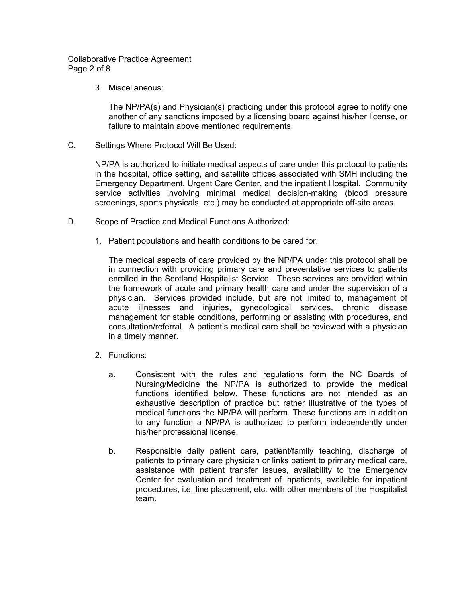Collaborative Practice Agreement Page 2 of 8

3. Miscellaneous:

The NP/PA(s) and Physician(s) practicing under this protocol agree to notify one another of any sanctions imposed by a licensing board against his/her license, or failure to maintain above mentioned requirements.

C. Settings Where Protocol Will Be Used:

NP/PA is authorized to initiate medical aspects of care under this protocol to patients in the hospital, office setting, and satellite offices associated with SMH including the Emergency Department, Urgent Care Center, and the inpatient Hospital. Community service activities involving minimal medical decision-making (blood pressure screenings, sports physicals, etc.) may be conducted at appropriate off-site areas.

- D. Scope of Practice and Medical Functions Authorized:
	- 1. Patient populations and health conditions to be cared for.

The medical aspects of care provided by the NP/PA under this protocol shall be in connection with providing primary care and preventative services to patients enrolled in the Scotland Hospitalist Service. These services are provided within the framework of acute and primary health care and under the supervision of a physician. Services provided include, but are not limited to, management of acute illnesses and injuries, gynecological services, chronic disease management for stable conditions, performing or assisting with procedures, and consultation/referral. A patient's medical care shall be reviewed with a physician in a timely manner.

- 2. Functions:
	- a. Consistent with the rules and regulations form the NC Boards of Nursing/Medicine the NP/PA is authorized to provide the medical functions identified below. These functions are not intended as an exhaustive description of practice but rather illustrative of the types of medical functions the NP/PA will perform. These functions are in addition to any function a NP/PA is authorized to perform independently under his/her professional license.
	- b. Responsible daily patient care, patient/family teaching, discharge of patients to primary care physician or links patient to primary medical care, assistance with patient transfer issues, availability to the Emergency Center for evaluation and treatment of inpatients, available for inpatient procedures, i.e. line placement, etc. with other members of the Hospitalist team.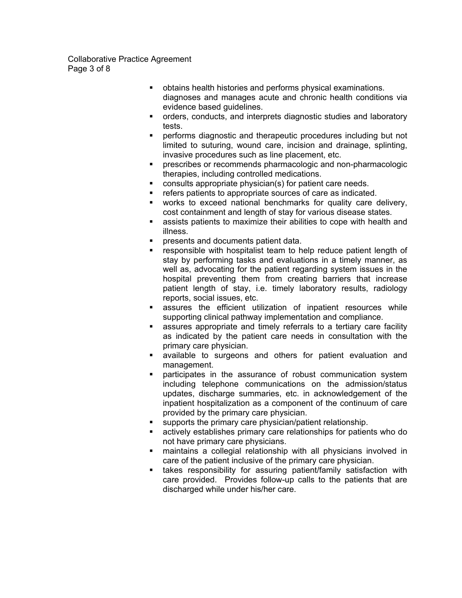### Collaborative Practice Agreement Page 3 of 8

- obtains health histories and performs physical examinations. diagnoses and manages acute and chronic health conditions via evidence based guidelines.
- orders, conducts, and interprets diagnostic studies and laboratory tests.
- performs diagnostic and therapeutic procedures including but not limited to suturing, wound care, incision and drainage, splinting, invasive procedures such as line placement, etc.
- prescribes or recommends pharmacologic and non-pharmacologic therapies, including controlled medications.
- consults appropriate physician(s) for patient care needs.
- **•** refers patients to appropriate sources of care as indicated.
- works to exceed national benchmarks for quality care delivery, cost containment and length of stay for various disease states.
- assists patients to maximize their abilities to cope with health and illness.
- presents and documents patient data.
- responsible with hospitalist team to help reduce patient length of stay by performing tasks and evaluations in a timely manner, as well as, advocating for the patient regarding system issues in the hospital preventing them from creating barriers that increase patient length of stay, i.e. timely laboratory results, radiology reports, social issues, etc.
- **EXEC** assures the efficient utilization of inpatient resources while supporting clinical pathway implementation and compliance.
- assures appropriate and timely referrals to a tertiary care facility as indicated by the patient care needs in consultation with the primary care physician.
- available to surgeons and others for patient evaluation and management.
- participates in the assurance of robust communication system including telephone communications on the admission/status updates, discharge summaries, etc. in acknowledgement of the inpatient hospitalization as a component of the continuum of care provided by the primary care physician.
- **supports the primary care physician/patient relationship.**
- actively establishes primary care relationships for patients who do not have primary care physicians.
- maintains a collegial relationship with all physicians involved in care of the patient inclusive of the primary care physician.
- takes responsibility for assuring patient/family satisfaction with care provided. Provides follow-up calls to the patients that are discharged while under his/her care.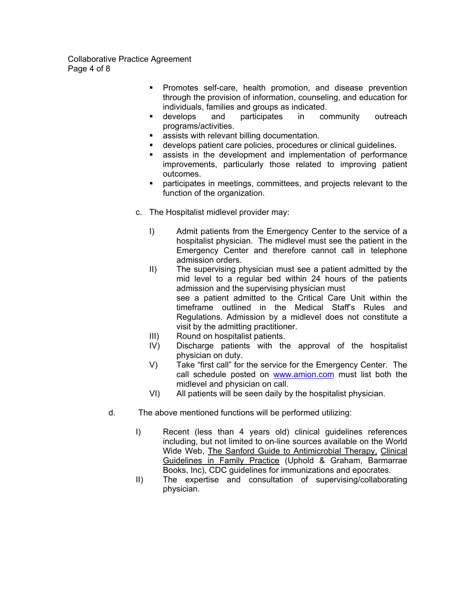### Collaborative Practice Agreement Page 4 of 8

- Promotes self-care, health promotion, and disease prevention through the provision of information, counseling, and education for individuals, families and groups as indicated.
- **develops** and participates in community outreach programs/activities.
- assists with relevant billing documentation.
- develops patient care policies, procedures or clinical guidelines.
	- assists in the development and implementation of performance improvements, particularly those related to improving patient outcomes.
- participates in meetings, committees, and projects relevant to the function of the organization.
- c. The Hospitalist midlevel provider may:
	- I) Admit patients from the Emergency Center to the service of a hospitalist physician. The midlevel must see the patient in the Emergency Center and therefore cannot call in telephone admission orders.
	- II) The supervising physician must see a patient admitted by the mid level to a regular bed within 24 hours of the patients admission and the supervising physician must see a patient admitted to the Critical Care Unit within the timeframe outlined in the Medical Staff's Rules and Regulations. Admission by a midlevel does not constitute a visit by the admitting practitioner.
	- III) Round on hospitalist patients.
	- IV) Discharge patients with the approval of the hospitalist physician on duty.
	- V) Take "first call" for the service for the Emergency Center. The call schedule posted on [www.amion.com](http://www.amion.com/) must list both the midlevel and physician on call.
	- VI) All patients will be seen daily by the hospitalist physician.
- d. The above mentioned functions will be performed utilizing:
	- I) Recent (less than 4 years old) clinical guidelines references including, but not limited to on-line sources available on the World Wide Web, The Sanford Guide to Antimicrobial Therapy, Clinical Guidelines in Family Practice (Uphold & Graham, Barmarrae Books, Inc), CDC guidelines for immunizations and epocrates.
	- II) The expertise and consultation of supervising/collaborating physician.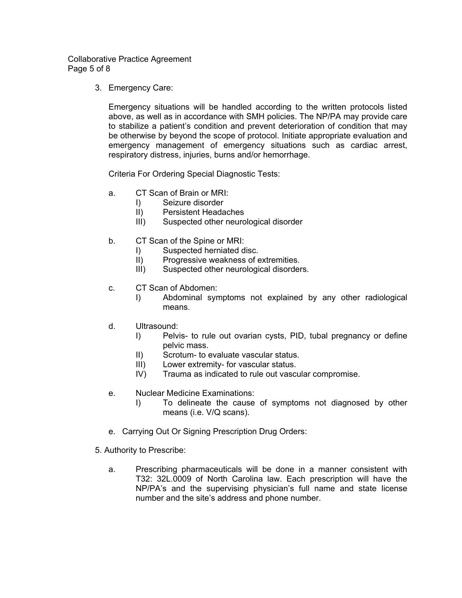### Collaborative Practice Agreement Page 5 of 8

3. Emergency Care:

Emergency situations will be handled according to the written protocols listed above, as well as in accordance with SMH policies. The NP/PA may provide care to stabilize a patient's condition and prevent deterioration of condition that may be otherwise by beyond the scope of protocol. Initiate appropriate evaluation and emergency management of emergency situations such as cardiac arrest, respiratory distress, injuries, burns and/or hemorrhage.

Criteria For Ordering Special Diagnostic Tests:

- a. CT Scan of Brain or MRI:
	- I) Seizure disorder
	- II) Persistent Headaches
	- III) Suspected other neurological disorder
- b. CT Scan of the Spine or MRI:
	- I) Suspected herniated disc.
	- II) Progressive weakness of extremities.
	- III) Suspected other neurological disorders.

#### c. CT Scan of Abdomen:

- I) Abdominal symptoms not explained by any other radiological means.
- d. Ultrasound:
	- I) Pelvis- to rule out ovarian cysts, PID, tubal pregnancy or define pelvic mass.
	- II) Scrotum- to evaluate vascular status.
	-
	- III) Lower extremity- for vascular status.<br>IV) Trauma as indicated to rule out vascu Trauma as indicated to rule out vascular compromise.
- e. Nuclear Medicine Examinations:
	- I) To delineate the cause of symptoms not diagnosed by other means (i.e. V/Q scans).
- e. Carrying Out Or Signing Prescription Drug Orders:
- 5. Authority to Prescribe:
	- a. Prescribing pharmaceuticals will be done in a manner consistent with T32: 32L.0009 of North Carolina law. Each prescription will have the NP/PA's and the supervising physician's full name and state license number and the site's address and phone number.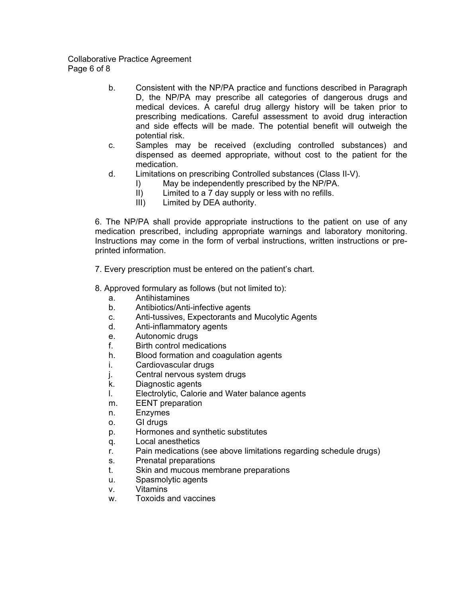## Collaborative Practice Agreement Page 6 of 8

- b. Consistent with the NP/PA practice and functions described in Paragraph D, the NP/PA may prescribe all categories of dangerous drugs and medical devices. A careful drug allergy history will be taken prior to prescribing medications. Careful assessment to avoid drug interaction and side effects will be made. The potential benefit will outweigh the potential risk.
- c. Samples may be received (excluding controlled substances) and dispensed as deemed appropriate, without cost to the patient for the medication.
- d. Limitations on prescribing Controlled substances (Class II-V).
	- I) May be independently prescribed by the NP/PA.
	- II) Limited to a 7 day supply or less with no refills.
	- III) Limited by DEA authority.

6. The NP/PA shall provide appropriate instructions to the patient on use of any medication prescribed, including appropriate warnings and laboratory monitoring. Instructions may come in the form of verbal instructions, written instructions or preprinted information.

- 7. Every prescription must be entered on the patient's chart.
- 8. Approved formulary as follows (but not limited to):
	- a. Antihistamines
	- b. Antibiotics/Anti-infective agents
	- c. Anti-tussives, Expectorants and Mucolytic Agents
	- d. Anti-inflammatory agents
	- e. Autonomic drugs
	- f. Birth control medications
	- h. Blood formation and coagulation agents
	- i. Cardiovascular drugs
	- j. Central nervous system drugs
	- k. Diagnostic agents
	- l. Electrolytic, Calorie and Water balance agents
	- m. EENT preparation
	- n. Enzymes
	- o. GI drugs
	- p. Hormones and synthetic substitutes
	- q. Local anesthetics
	- r. Pain medications (see above limitations regarding schedule drugs)
	- s. Prenatal preparations
	- t. Skin and mucous membrane preparations
	- u. Spasmolytic agents
	- v. Vitamins
	- w. Toxoids and vaccines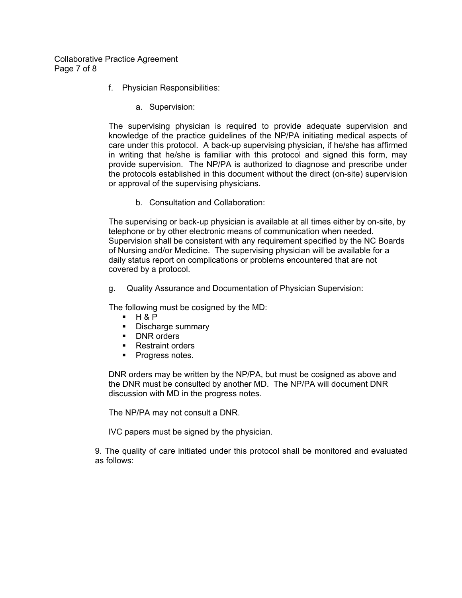Collaborative Practice Agreement Page 7 of 8

- f. Physician Responsibilities:
	- a. Supervision:

The supervising physician is required to provide adequate supervision and knowledge of the practice guidelines of the NP/PA initiating medical aspects of care under this protocol. A back-up supervising physician, if he/she has affirmed in writing that he/she is familiar with this protocol and signed this form, may provide supervision. The NP/PA is authorized to diagnose and prescribe under the protocols established in this document without the direct (on-site) supervision or approval of the supervising physicians.

b. Consultation and Collaboration:

The supervising or back-up physician is available at all times either by on-site, by telephone or by other electronic means of communication when needed. Supervision shall be consistent with any requirement specified by the NC Boards of Nursing and/or Medicine. The supervising physician will be available for a daily status report on complications or problems encountered that are not covered by a protocol.

g. Quality Assurance and Documentation of Physician Supervision:

The following must be cosigned by the MD:

- $H 8 P$
- **Discharge summary**
- **DNR** orders
- Restraint orders
- Progress notes.

DNR orders may be written by the NP/PA, but must be cosigned as above and the DNR must be consulted by another MD. The NP/PA will document DNR discussion with MD in the progress notes.

The NP/PA may not consult a DNR.

IVC papers must be signed by the physician.

9. The quality of care initiated under this protocol shall be monitored and evaluated as follows: